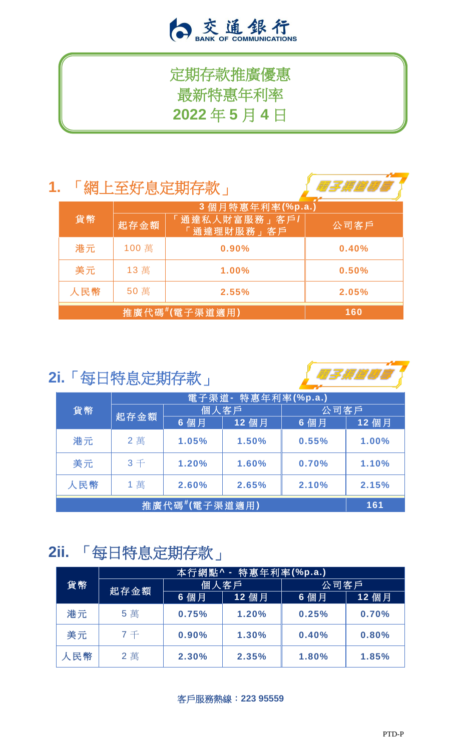

# 定期存款推廣優惠 最新特惠年利率 **2022** 年 **5** 月 **4** 日

### **1.** 「網上至好息定期存款」



|     |       | 3 個月特惠年利率(%p.a.)           |       |
|-----|-------|----------------------------|-------|
| 貨幣  | 起存金額  | 通達私人財富服務」客戶/<br>「通達理財服務」客戶 | 公司客户  |
| 港元  | 100 萬 | 0.90%                      | 0.40% |
| 美元  | 13萬   | 1.00%                      | 0.50% |
| 人民幣 | 50萬   | 2.55%                      | 2.05% |
|     |       | 推廣代碼#(電子渠道適用)              | 160   |

## **2i.**「每日特息定期存款」



| 貨幣            | 電子渠道 - 特惠年利率(%p.a.) |       |       |       |       |
|---------------|---------------------|-------|-------|-------|-------|
|               | 起存金額                | 個人客戶  |       | 公司客戶  |       |
|               |                     | 6 個月  | 12 個月 | 6 個月  | 12 個月 |
| 港元            | 2萬                  | 1.05% | 1.50% | 0.55% | 1.00% |
| 美元            | $3 +$               | 1.20% | 1.60% | 0.70% | 1.10% |
| 人民幣           | 1 萬                 | 2.60% | 2.65% | 2.10% | 2.15% |
| 推廣代碼#(電子渠道適用) |                     |       |       |       | 161   |

# **2ii.** 「每日特息定期存款」

|     | 情惠年利率(%p.a.)<br>本行網點^ - |       |       |       |       |
|-----|-------------------------|-------|-------|-------|-------|
| 貨幣  | 起存金額                    | 個人客戶  |       | 公司客戶  |       |
|     |                         | 6 個月  | 12 個月 | 6 個月  | 12 個月 |
| 港元  | 5 萬                     | 0.75% | 1.20% | 0.25% | 0.70% |
| 美元  | $7 +$                   | 0.90% | 1.30% | 0.40% | 0.80% |
| 人民幣 | 2萬                      | 2.30% | 2.35% | 1.80% | 1.85% |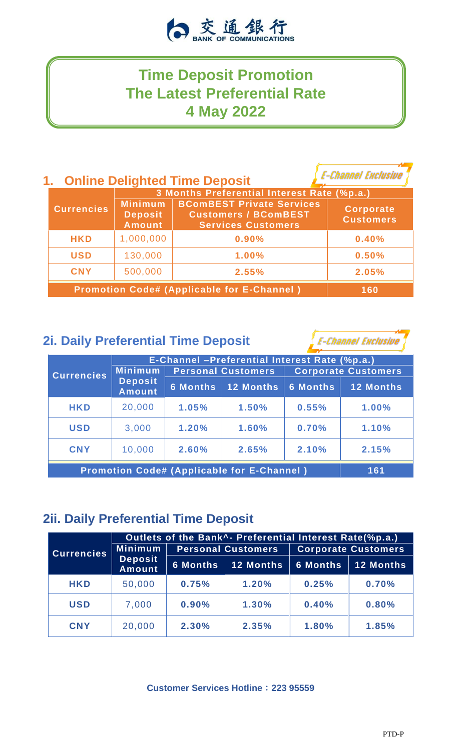

### **Time Deposit Promotion The Latest Preferential Rate 4 May 2022**

### **1. Online Delighted Time Deposit**

**E-Channel Exclusive** 

|                                                   | 3 Months Preferential Interest Rate (%p.a.)       |                                                                                              |                                      |  |  |
|---------------------------------------------------|---------------------------------------------------|----------------------------------------------------------------------------------------------|--------------------------------------|--|--|
| <b>Currencies</b>                                 | <b>Minimum</b><br><b>Deposit</b><br><b>Amount</b> | <b>BComBEST Private Services</b><br><b>Customers / BComBEST</b><br><b>Services Customers</b> | <b>Corporate</b><br><b>Customers</b> |  |  |
| <b>HKD</b>                                        | 1,000,000                                         | 0.90%                                                                                        | 0.40%                                |  |  |
| <b>USD</b>                                        | 130,000                                           | 1.00%                                                                                        | 0.50%                                |  |  |
| <b>CNY</b>                                        | 500,000                                           | 2.55%                                                                                        | 2.05%                                |  |  |
| <b>Promotion Code# (Applicable for E-Channel)</b> | 160                                               |                                                                                              |                                      |  |  |

#### **2i. Daily Preferential Time Deposit**

**E-Channel Exclusive** 

|                                                   | E-Channel -Preferential Interest Rate (%p.a.) |                           |                  |                            |                  |
|---------------------------------------------------|-----------------------------------------------|---------------------------|------------------|----------------------------|------------------|
| <b>Currencies</b>                                 | <b>Minimum</b>                                | <b>Personal Customers</b> |                  | <b>Corporate Customers</b> |                  |
|                                                   | <b>Deposit</b><br><b>Amount</b>               | <b>6 Months</b>           | <b>12 Months</b> | <b>6 Months</b>            | <b>12 Months</b> |
| <b>HKD</b>                                        | 20,000                                        | 1.05%                     | 1.50%            | 0.55%                      | 1.00%            |
| <b>USD</b>                                        | 3,000                                         | 1.20%                     | 1.60%            | 0.70%                      | 1.10%            |
| <b>CNY</b>                                        | 10,000                                        | 2.60%                     | 2.65%            | 2.10%                      | 2.15%            |
| <b>Promotion Code# (Applicable for E-Channel)</b> |                                               |                           |                  |                            | 161              |

### **2ii. Daily Preferential Time Deposit**

|                   | Outlets of the Bank <sup>^</sup> - Preferential Interest Rate(%p.a.) |                           |                  |                            |                  |
|-------------------|----------------------------------------------------------------------|---------------------------|------------------|----------------------------|------------------|
| <b>Currencies</b> | <b>Minimum</b>                                                       | <b>Personal Customers</b> |                  | <b>Corporate Customers</b> |                  |
|                   | <b>Deposit</b><br><b>Amount</b>                                      | <b>6 Months</b>           | <b>12 Months</b> | <b>6 Months</b>            | <b>12 Months</b> |
| <b>HKD</b>        | 50,000                                                               | 0.75%                     | 1.20%            | 0.25%                      | 0.70%            |
| <b>USD</b>        | 7,000                                                                | 0.90%                     | 1.30%            | 0.40%                      | 0.80%            |
| <b>CNY</b>        | 20,000                                                               | 2.30%                     | 2.35%            | 1.80%                      | 1.85%            |